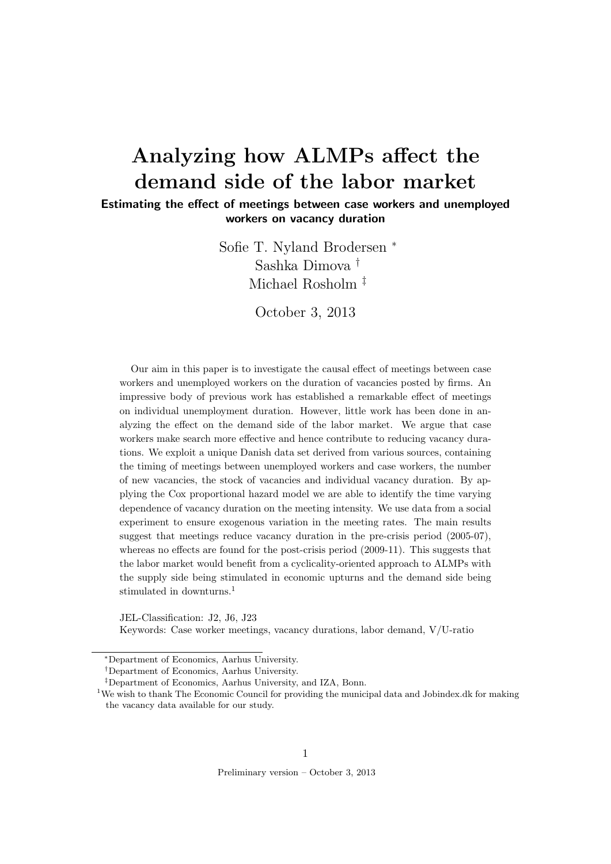# Analyzing how ALMPs affect the demand side of the labor market

Estimating the effect of meetings between case workers and unemployed workers on vacancy duration

> Sofie T. Nyland Brodersen <sup>∗</sup> Sashka Dimova † Michael Rosholm ‡

> > October 3, 2013

Our aim in this paper is to investigate the causal effect of meetings between case workers and unemployed workers on the duration of vacancies posted by firms. An impressive body of previous work has established a remarkable effect of meetings on individual unemployment duration. However, little work has been done in analyzing the effect on the demand side of the labor market. We argue that case workers make search more effective and hence contribute to reducing vacancy durations. We exploit a unique Danish data set derived from various sources, containing the timing of meetings between unemployed workers and case workers, the number of new vacancies, the stock of vacancies and individual vacancy duration. By applying the Cox proportional hazard model we are able to identify the time varying dependence of vacancy duration on the meeting intensity. We use data from a social experiment to ensure exogenous variation in the meeting rates. The main results suggest that meetings reduce vacancy duration in the pre-crisis period (2005-07), whereas no effects are found for the post-crisis period (2009-11). This suggests that the labor market would benefit from a cyclicality-oriented approach to ALMPs with the supply side being stimulated in economic upturns and the demand side being stimulated in downturns<sup>1</sup>

JEL-Classification: J2, J6, J23 Keywords: Case worker meetings, vacancy durations, labor demand, V/U-ratio

Preliminary version – October 3, 2013

<sup>∗</sup>Department of Economics, Aarhus University.

<sup>†</sup>Department of Economics, Aarhus University.

<sup>‡</sup>Department of Economics, Aarhus University, and IZA, Bonn.

<sup>&</sup>lt;sup>1</sup>We wish to thank The Economic Council for providing the municipal data and Jobindex.dk for making the vacancy data available for our study.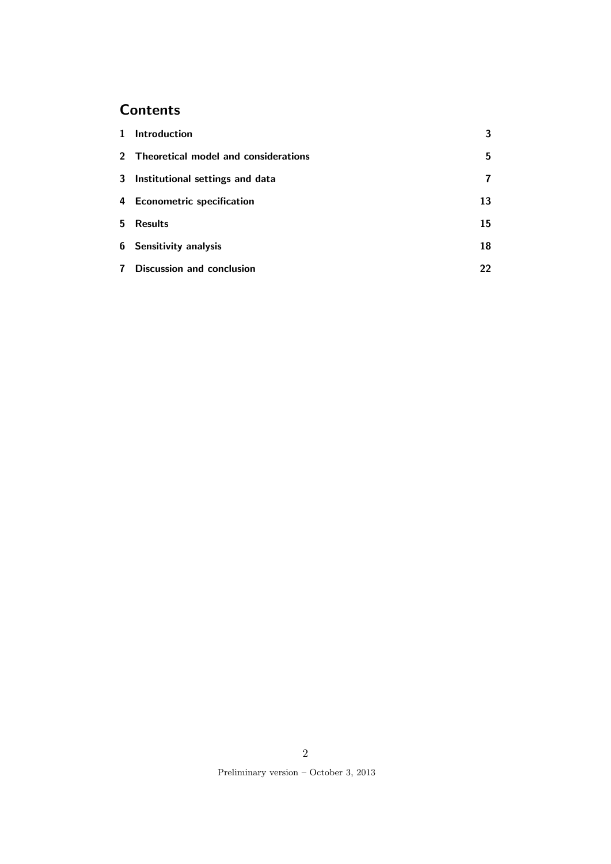## **Contents**

| $\mathbf{1}$ | <b>Introduction</b>                    | 3  |
|--------------|----------------------------------------|----|
|              | 2 Theoretical model and considerations | 5. |
|              | 3 Institutional settings and data      | 7  |
|              | 4 Econometric specification            | 13 |
|              | 5 Results                              | 15 |
|              | 6 Sensitivity analysis                 | 18 |
| $\mathbf{7}$ | <b>Discussion and conclusion</b>       | 22 |

Preliminary version – October 3, 2013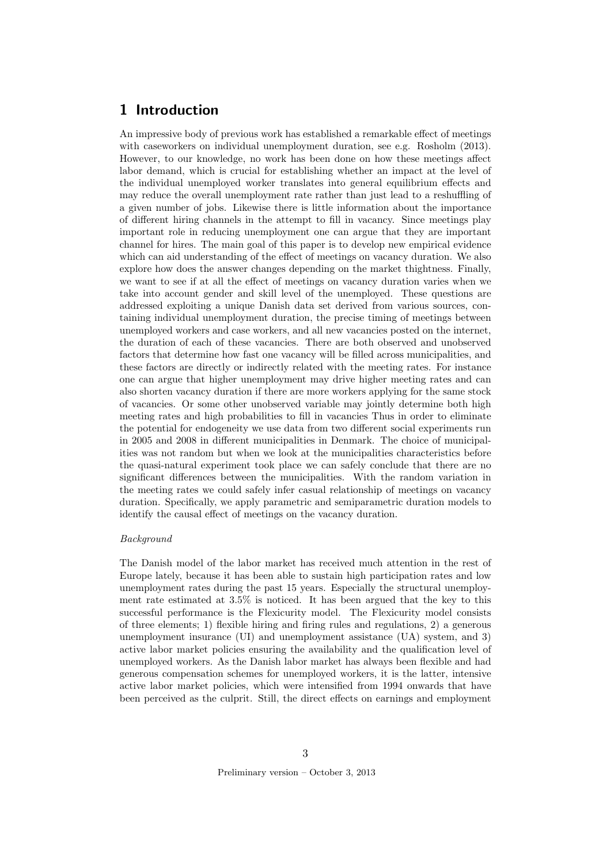### 1 Introduction

An impressive body of previous work has established a remarkable effect of meetings with caseworkers on individual unemployment duration, see e.g. Rosholm (2013). However, to our knowledge, no work has been done on how these meetings affect labor demand, which is crucial for establishing whether an impact at the level of the individual unemployed worker translates into general equilibrium effects and may reduce the overall unemployment rate rather than just lead to a reshuffling of a given number of jobs. Likewise there is little information about the importance of different hiring channels in the attempt to fill in vacancy. Since meetings play important role in reducing unemployment one can argue that they are important channel for hires. The main goal of this paper is to develop new empirical evidence which can aid understanding of the effect of meetings on vacancy duration. We also explore how does the answer changes depending on the market thightness. Finally, we want to see if at all the effect of meetings on vacancy duration varies when we take into account gender and skill level of the unemployed. These questions are addressed exploiting a unique Danish data set derived from various sources, containing individual unemployment duration, the precise timing of meetings between unemployed workers and case workers, and all new vacancies posted on the internet, the duration of each of these vacancies. There are both observed and unobserved factors that determine how fast one vacancy will be filled across municipalities, and these factors are directly or indirectly related with the meeting rates. For instance one can argue that higher unemployment may drive higher meeting rates and can also shorten vacancy duration if there are more workers applying for the same stock of vacancies. Or some other unobserved variable may jointly determine both high meeting rates and high probabilities to fill in vacancies Thus in order to eliminate the potential for endogeneity we use data from two different social experiments run in 2005 and 2008 in different municipalities in Denmark. The choice of municipalities was not random but when we look at the municipalities characteristics before the quasi-natural experiment took place we can safely conclude that there are no significant differences between the municipalities. With the random variation in the meeting rates we could safely infer casual relationship of meetings on vacancy duration. Specifically, we apply parametric and semiparametric duration models to identify the causal effect of meetings on the vacancy duration.

#### Background

The Danish model of the labor market has received much attention in the rest of Europe lately, because it has been able to sustain high participation rates and low unemployment rates during the past 15 years. Especially the structural unemployment rate estimated at 3.5% is noticed. It has been argued that the key to this successful performance is the Flexicurity model. The Flexicurity model consists of three elements; 1) flexible hiring and firing rules and regulations, 2) a generous unemployment insurance (UI) and unemployment assistance (UA) system, and 3) active labor market policies ensuring the availability and the qualification level of unemployed workers. As the Danish labor market has always been flexible and had generous compensation schemes for unemployed workers, it is the latter, intensive active labor market policies, which were intensified from 1994 onwards that have been perceived as the culprit. Still, the direct effects on earnings and employment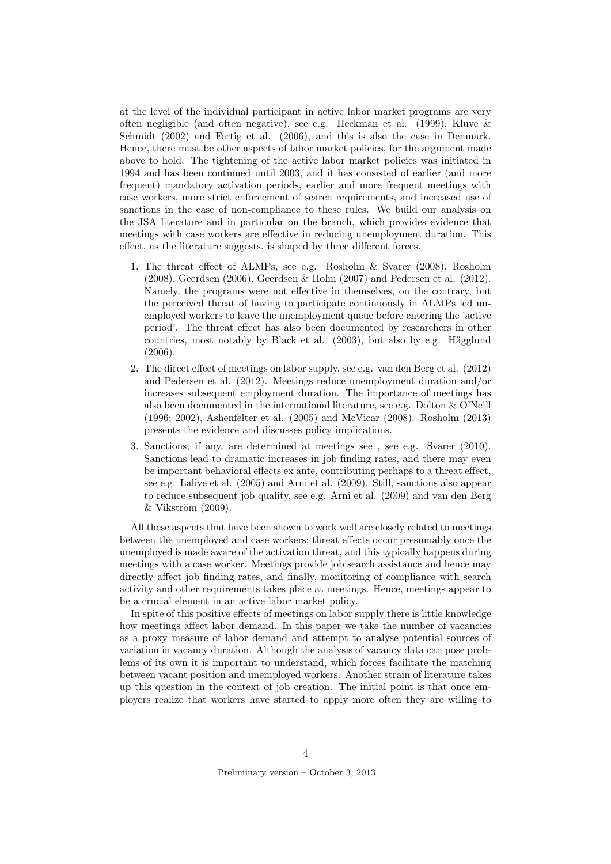at the level of the individual participant in active labor market programs are very often negligible (and often negative), see e.g. Heckman et al. (1999), Kluve & Schmidt (2002) and Fertig et al. (2006), and this is also the case in Denmark. Hence, there must be other aspects of labor market policies, for the argument made above to hold. The tightening of the active labor market policies was initiated in 1994 and has been continued until 2003, and it has consisted of earlier (and more frequent) mandatory activation periods, earlier and more frequent meetings with case workers, more strict enforcement of search requirements, and increased use of sanctions in the case of non-compliance to these rules. We build our analysis on the JSA literature and in particular on the branch, which provides evidence that meetings with case workers are effective in reducing unemployment duration. This effect, as the literature suggests, is shaped by three different forces.

- 1. The threat effect of ALMPs, see e.g. Rosholm & Svarer (2008), Rosholm (2008), Geerdsen (2006), Geerdsen & Holm (2007) and Pedersen et al. (2012). Namely, the programs were not effective in themselves, on the contrary, but the perceived threat of having to participate continuously in ALMPs led unemployed workers to leave the unemployment queue before entering the 'active period'. The threat effect has also been documented by researchers in other countries, most notably by Black et al.  $(2003)$ , but also by e.g. Hägglund (2006).
- 2. The direct effect of meetings on labor supply, see e.g. van den Berg et al. (2012) and Pedersen et al. (2012). Meetings reduce unemployment duration and/or increases subsequent employment duration. The importance of meetings has also been documented in the international literature, see e.g. Dolton & O'Neill (1996; 2002), Ashenfelter et al. (2005) and McVicar (2008). Rosholm (2013) presents the evidence and discusses policy implications.
- 3. Sanctions, if any, are determined at meetings see , see e.g. Svarer (2010). Sanctions lead to dramatic increases in job finding rates, and there may even be important behavioral effects ex ante, contributing perhaps to a threat effect, see e.g. Lalive et al. (2005) and Arni et al. (2009). Still, sanctions also appear to reduce subsequent job quality, see e.g. Arni et al. (2009) and van den Berg  $&\text{Vikström (2009)}.$

All these aspects that have been shown to work well are closely related to meetings between the unemployed and case workers; threat effects occur presumably once the unemployed is made aware of the activation threat, and this typically happens during meetings with a case worker. Meetings provide job search assistance and hence may directly affect job finding rates, and finally, monitoring of compliance with search activity and other requirements takes place at meetings. Hence, meetings appear to be a crucial element in an active labor market policy.

In spite of this positive effects of meetings on labor supply there is little knowledge how meetings affect labor demand. In this paper we take the number of vacancies as a proxy measure of labor demand and attempt to analyse potential sources of variation in vacancy duration. Although the analysis of vacancy data can pose problems of its own it is important to understand, which forces facilitate the matching between vacant position and unemployed workers. Another strain of literature takes up this question in the context of job creation. The initial point is that once employers realize that workers have started to apply more often they are willing to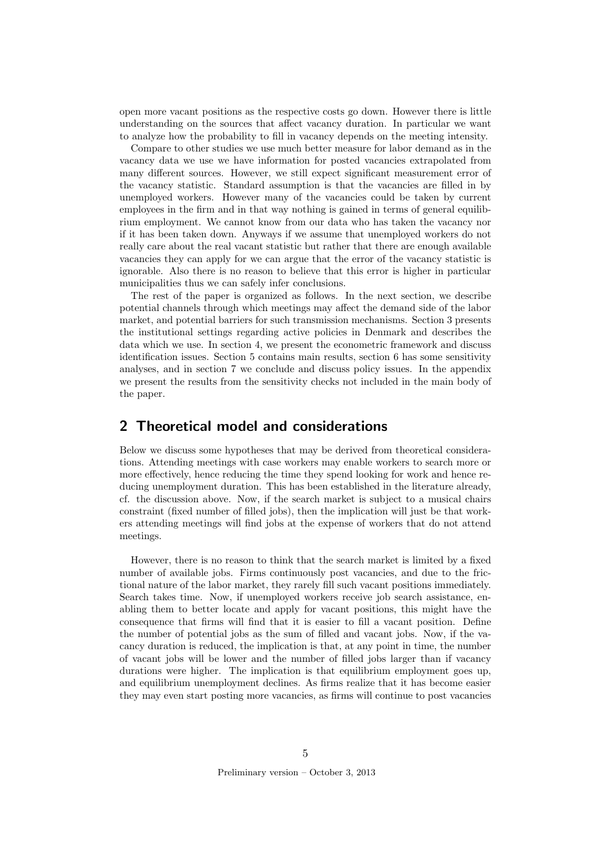open more vacant positions as the respective costs go down. However there is little understanding on the sources that affect vacancy duration. In particular we want to analyze how the probability to fill in vacancy depends on the meeting intensity.

Compare to other studies we use much better measure for labor demand as in the vacancy data we use we have information for posted vacancies extrapolated from many different sources. However, we still expect significant measurement error of the vacancy statistic. Standard assumption is that the vacancies are filled in by unemployed workers. However many of the vacancies could be taken by current employees in the firm and in that way nothing is gained in terms of general equilibrium employment. We cannot know from our data who has taken the vacancy nor if it has been taken down. Anyways if we assume that unemployed workers do not really care about the real vacant statistic but rather that there are enough available vacancies they can apply for we can argue that the error of the vacancy statistic is ignorable. Also there is no reason to believe that this error is higher in particular municipalities thus we can safely infer conclusions.

The rest of the paper is organized as follows. In the next section, we describe potential channels through which meetings may affect the demand side of the labor market, and potential barriers for such transmission mechanisms. Section 3 presents the institutional settings regarding active policies in Denmark and describes the data which we use. In section 4, we present the econometric framework and discuss identification issues. Section 5 contains main results, section 6 has some sensitivity analyses, and in section 7 we conclude and discuss policy issues. In the appendix we present the results from the sensitivity checks not included in the main body of the paper.

### 2 Theoretical model and considerations

Below we discuss some hypotheses that may be derived from theoretical considerations. Attending meetings with case workers may enable workers to search more or more effectively, hence reducing the time they spend looking for work and hence reducing unemployment duration. This has been established in the literature already, cf. the discussion above. Now, if the search market is subject to a musical chairs constraint (fixed number of filled jobs), then the implication will just be that workers attending meetings will find jobs at the expense of workers that do not attend meetings.

However, there is no reason to think that the search market is limited by a fixed number of available jobs. Firms continuously post vacancies, and due to the frictional nature of the labor market, they rarely fill such vacant positions immediately. Search takes time. Now, if unemployed workers receive job search assistance, enabling them to better locate and apply for vacant positions, this might have the consequence that firms will find that it is easier to fill a vacant position. Define the number of potential jobs as the sum of filled and vacant jobs. Now, if the vacancy duration is reduced, the implication is that, at any point in time, the number of vacant jobs will be lower and the number of filled jobs larger than if vacancy durations were higher. The implication is that equilibrium employment goes up, and equilibrium unemployment declines. As firms realize that it has become easier they may even start posting more vacancies, as firms will continue to post vacancies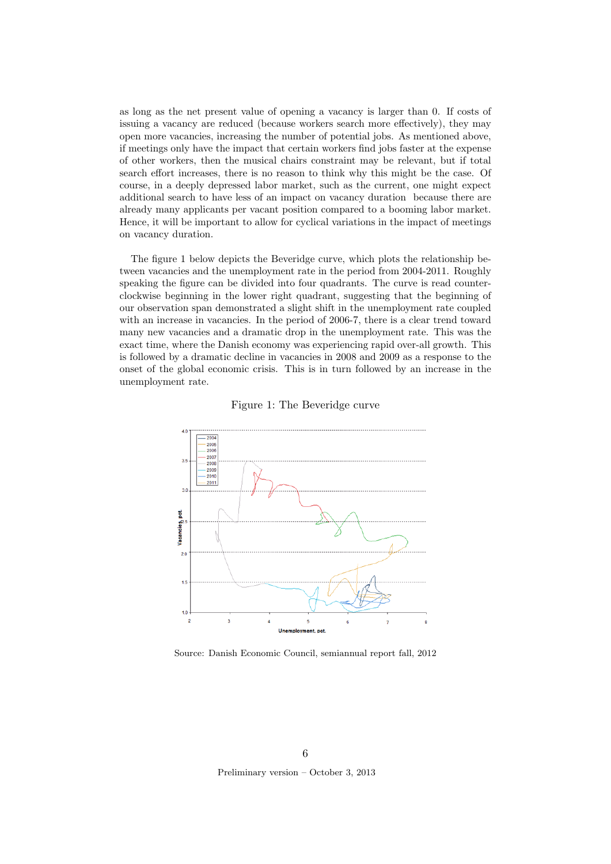as long as the net present value of opening a vacancy is larger than 0. If costs of issuing a vacancy are reduced (because workers search more effectively), they may open more vacancies, increasing the number of potential jobs. As mentioned above, if meetings only have the impact that certain workers find jobs faster at the expense of other workers, then the musical chairs constraint may be relevant, but if total search effort increases, there is no reason to think why this might be the case. Of course, in a deeply depressed labor market, such as the current, one might expect additional search to have less of an impact on vacancy duration because there are already many applicants per vacant position compared to a booming labor market. Hence, it will be important to allow for cyclical variations in the impact of meetings on vacancy duration.

The figure 1 below depicts the Beveridge curve, which plots the relationship between vacancies and the unemployment rate in the period from 2004-2011. Roughly speaking the figure can be divided into four quadrants. The curve is read counterclockwise beginning in the lower right quadrant, suggesting that the beginning of our observation span demonstrated a slight shift in the unemployment rate coupled with an increase in vacancies. In the period of 2006-7, there is a clear trend toward many new vacancies and a dramatic drop in the unemployment rate. This was the exact time, where the Danish economy was experiencing rapid over-all growth. This is followed by a dramatic decline in vacancies in 2008 and 2009 as a response to the onset of the global economic crisis. This is in turn followed by an increase in the unemployment rate.





Source: Danish Economic Council, semiannual report fall, 2012

Preliminary version – October 3, 2013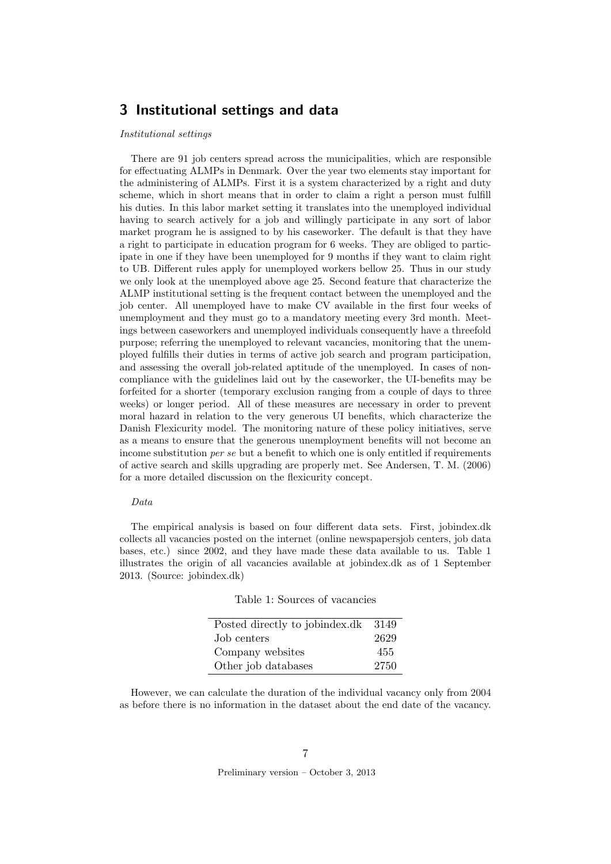### 3 Institutional settings and data

#### Institutional settings

There are 91 job centers spread across the municipalities, which are responsible for effectuating ALMPs in Denmark. Over the year two elements stay important for the administering of ALMPs. First it is a system characterized by a right and duty scheme, which in short means that in order to claim a right a person must fulfill his duties. In this labor market setting it translates into the unemployed individual having to search actively for a job and willingly participate in any sort of labor market program he is assigned to by his caseworker. The default is that they have a right to participate in education program for 6 weeks. They are obliged to participate in one if they have been unemployed for 9 months if they want to claim right to UB. Different rules apply for unemployed workers bellow 25. Thus in our study we only look at the unemployed above age 25. Second feature that characterize the ALMP institutional setting is the frequent contact between the unemployed and the job center. All unemployed have to make CV available in the first four weeks of unemployment and they must go to a mandatory meeting every 3rd month. Meetings between caseworkers and unemployed individuals consequently have a threefold purpose; referring the unemployed to relevant vacancies, monitoring that the unemployed fulfills their duties in terms of active job search and program participation, and assessing the overall job-related aptitude of the unemployed. In cases of noncompliance with the guidelines laid out by the caseworker, the UI-benefits may be forfeited for a shorter (temporary exclusion ranging from a couple of days to three weeks) or longer period. All of these measures are necessary in order to prevent moral hazard in relation to the very generous UI benefits, which characterize the Danish Flexicurity model. The monitoring nature of these policy initiatives, serve as a means to ensure that the generous unemployment benefits will not become an income substitution *per se* but a benefit to which one is only entitled if requirements of active search and skills upgrading are properly met. See Andersen, T. M. (2006) for a more detailed discussion on the flexicurity concept.

#### Data

The empirical analysis is based on four different data sets. First, jobindex.dk collects all vacancies posted on the internet (online newspapersjob centers, job data bases, etc.) since 2002, and they have made these data available to us. Table 1 illustrates the origin of all vacancies available at jobindex.dk as of 1 September 2013. (Source: jobindex.dk)

|  |  | Table 1: Sources of vacancies |
|--|--|-------------------------------|
|--|--|-------------------------------|

| Posted directly to jobindex.dk | 3149 |
|--------------------------------|------|
| Job centers                    | 2629 |
| Company websites               | 455  |
| Other job databases            | 2750 |

However, we can calculate the duration of the individual vacancy only from 2004 as before there is no information in the dataset about the end date of the vacancy.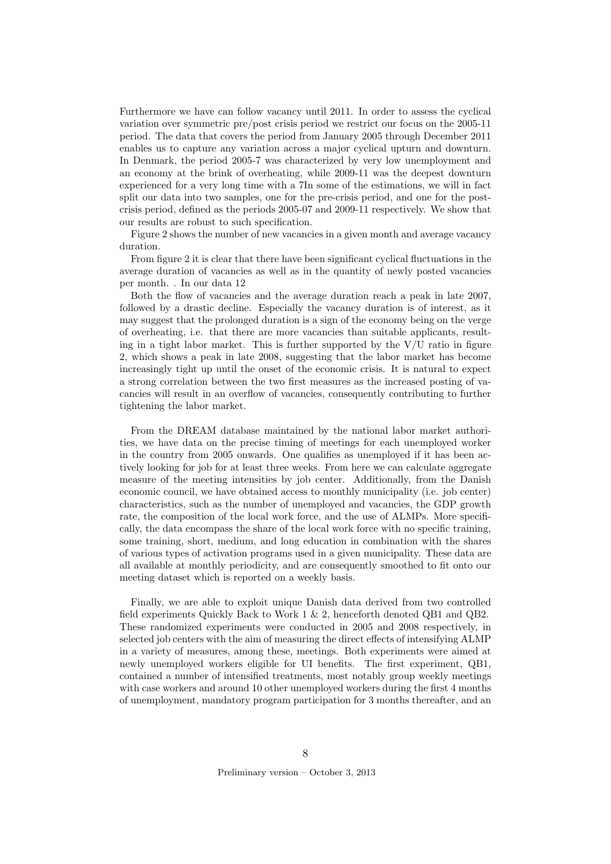Furthermore we have can follow vacancy until 2011. In order to assess the cyclical variation over symmetric pre/post crisis period we restrict our focus on the 2005-11 period. The data that covers the period from January 2005 through December 2011 enables us to capture any variation across a major cyclical upturn and downturn. In Denmark, the period 2005-7 was characterized by very low unemployment and an economy at the brink of overheating, while 2009-11 was the deepest downturn experienced for a very long time with a 7In some of the estimations, we will in fact split our data into two samples, one for the pre-crisis period, and one for the postcrisis period, defined as the periods 2005-07 and 2009-11 respectively. We show that our results are robust to such specification.

Figure 2 shows the number of new vacancies in a given month and average vacancy duration.

From figure 2 it is clear that there have been significant cyclical fluctuations in the average duration of vacancies as well as in the quantity of newly posted vacancies per month. . In our data 12

Both the flow of vacancies and the average duration reach a peak in late 2007, followed by a drastic decline. Especially the vacancy duration is of interest, as it may suggest that the prolonged duration is a sign of the economy being on the verge of overheating, i.e. that there are more vacancies than suitable applicants, resulting in a tight labor market. This is further supported by the  $V/U$  ratio in figure 2, which shows a peak in late 2008, suggesting that the labor market has become increasingly tight up until the onset of the economic crisis. It is natural to expect a strong correlation between the two first measures as the increased posting of vacancies will result in an overflow of vacancies, consequently contributing to further tightening the labor market.

From the DREAM database maintained by the national labor market authorities, we have data on the precise timing of meetings for each unemployed worker in the country from 2005 onwards. One qualifies as unemployed if it has been actively looking for job for at least three weeks. From here we can calculate aggregate measure of the meeting intensities by job center. Additionally, from the Danish economic council, we have obtained access to monthly municipality (i.e. job center) characteristics, such as the number of unemployed and vacancies, the GDP growth rate, the composition of the local work force, and the use of ALMPs. More specifically, the data encompass the share of the local work force with no specific training, some training, short, medium, and long education in combination with the shares of various types of activation programs used in a given municipality. These data are all available at monthly periodicity, and are consequently smoothed to fit onto our meeting dataset which is reported on a weekly basis.

Finally, we are able to exploit unique Danish data derived from two controlled field experiments Quickly Back to Work 1 & 2, henceforth denoted QB1 and QB2. These randomized experiments were conducted in 2005 and 2008 respectively, in selected job centers with the aim of measuring the direct effects of intensifying ALMP in a variety of measures, among these, meetings. Both experiments were aimed at newly unemployed workers eligible for UI benefits. The first experiment, QB1, contained a number of intensified treatments, most notably group weekly meetings with case workers and around 10 other unemployed workers during the first 4 months of unemployment, mandatory program participation for 3 months thereafter, and an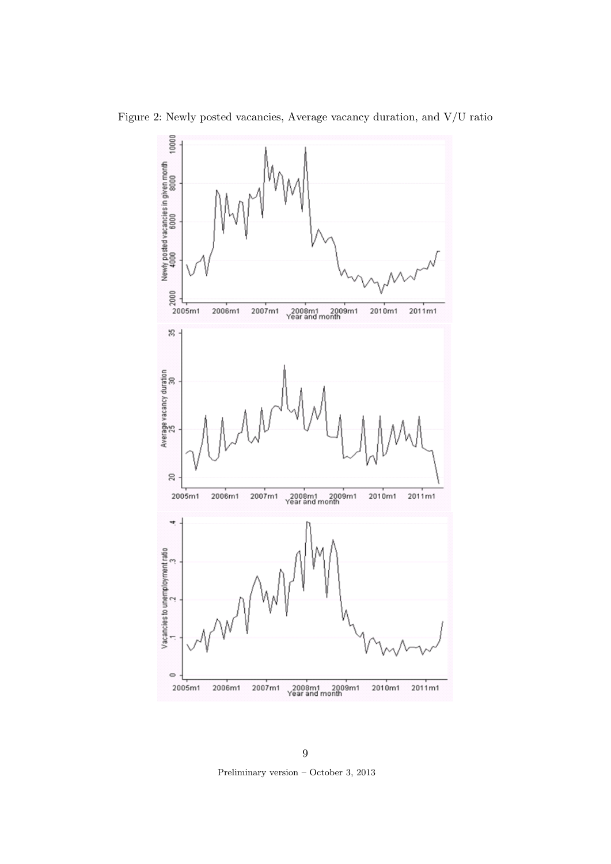Figure 2: Newly posted vacancies, Average vacancy duration, and V/U ratio



Preliminary version – October 3, 2013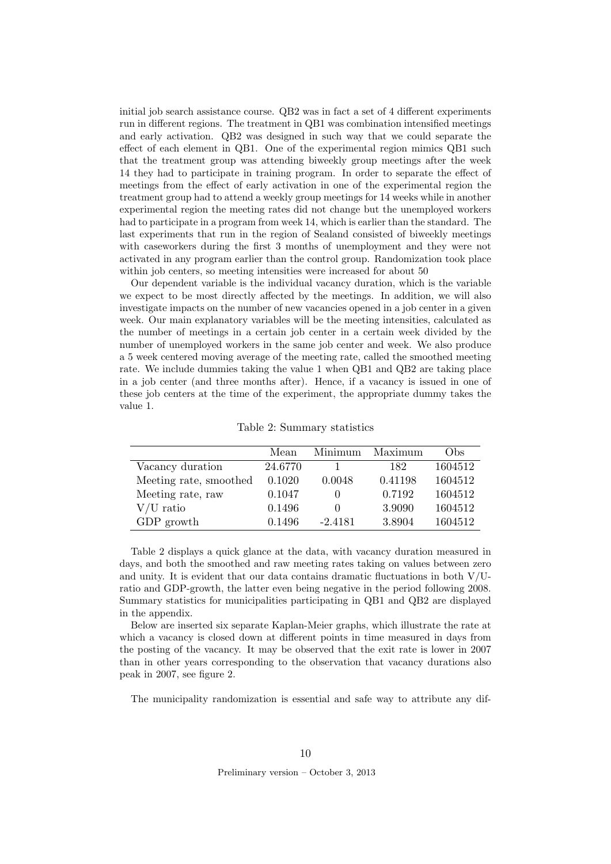initial job search assistance course. QB2 was in fact a set of 4 different experiments run in different regions. The treatment in QB1 was combination intensified meetings and early activation. QB2 was designed in such way that we could separate the effect of each element in QB1. One of the experimental region mimics QB1 such that the treatment group was attending biweekly group meetings after the week 14 they had to participate in training program. In order to separate the effect of meetings from the effect of early activation in one of the experimental region the treatment group had to attend a weekly group meetings for 14 weeks while in another experimental region the meeting rates did not change but the unemployed workers had to participate in a program from week 14, which is earlier than the standard. The last experiments that run in the region of Sealand consisted of biweekly meetings with caseworkers during the first 3 months of unemployment and they were not activated in any program earlier than the control group. Randomization took place within job centers, so meeting intensities were increased for about 50

Our dependent variable is the individual vacancy duration, which is the variable we expect to be most directly affected by the meetings. In addition, we will also investigate impacts on the number of new vacancies opened in a job center in a given week. Our main explanatory variables will be the meeting intensities, calculated as the number of meetings in a certain job center in a certain week divided by the number of unemployed workers in the same job center and week. We also produce a 5 week centered moving average of the meeting rate, called the smoothed meeting rate. We include dummies taking the value 1 when QB1 and QB2 are taking place in a job center (and three months after). Hence, if a vacancy is issued in one of these job centers at the time of the experiment, the appropriate dummy takes the value 1.

Table 2: Summary statistics

|                        | Mean    | Minimum      | Maximum | Obs)    |
|------------------------|---------|--------------|---------|---------|
| Vacancy duration       | 24.6770 |              | 182     | 1604512 |
| Meeting rate, smoothed | 0.1020  | 0.0048       | 0.41198 | 1604512 |
| Meeting rate, raw      | 0.1047  | O            | 0.7192  | 1604512 |
| $V/U$ ratio            | 0.1496  | $\mathbf{0}$ | 3.9090  | 1604512 |
| GDP growth             | 0.1496  | $-2.4181$    | 3.8904  | 1604512 |

Table 2 displays a quick glance at the data, with vacancy duration measured in days, and both the smoothed and raw meeting rates taking on values between zero and unity. It is evident that our data contains dramatic fluctuations in both  $V/U$ ratio and GDP-growth, the latter even being negative in the period following 2008. Summary statistics for municipalities participating in QB1 and QB2 are displayed in the appendix.

Below are inserted six separate Kaplan-Meier graphs, which illustrate the rate at which a vacancy is closed down at different points in time measured in days from the posting of the vacancy. It may be observed that the exit rate is lower in 2007 than in other years corresponding to the observation that vacancy durations also peak in 2007, see figure 2.

The municipality randomization is essential and safe way to attribute any dif-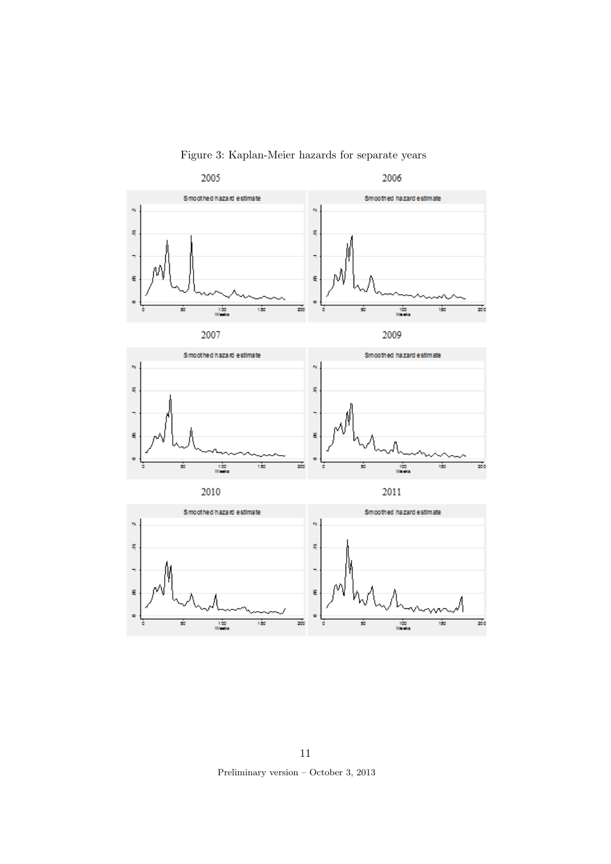

Figure 3: Kaplan-Meier hazards for separate years

11 Preliminary version – October 3, 2013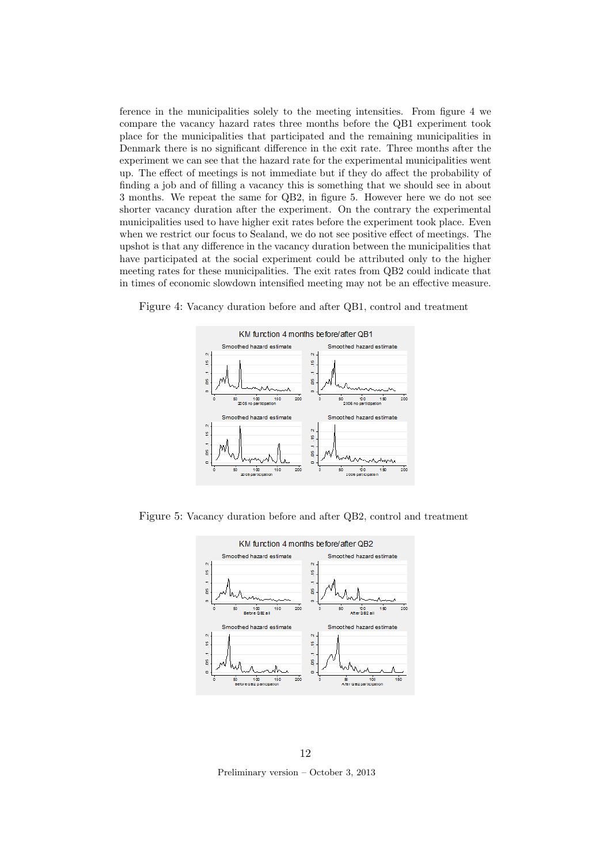ference in the municipalities solely to the meeting intensities. From figure 4 we compare the vacancy hazard rates three months before the QB1 experiment took place for the municipalities that participated and the remaining municipalities in Denmark there is no significant difference in the exit rate. Three months after the experiment we can see that the hazard rate for the experimental municipalities went up. The effect of meetings is not immediate but if they do affect the probability of finding a job and of filling a vacancy this is something that we should see in about 3 months. We repeat the same for QB2, in figure 5. However here we do not see shorter vacancy duration after the experiment. On the contrary the experimental municipalities used to have higher exit rates before the experiment took place. Even when we restrict our focus to Sealand, we do not see positive effect of meetings. The upshot is that any difference in the vacancy duration between the municipalities that have participated at the social experiment could be attributed only to the higher meeting rates for these municipalities. The exit rates from QB2 could indicate that in times of economic slowdown intensified meeting may not be an effective measure.



Figure 4: Vacancy duration before and after QB1, control and treatment

Figure 5: Vacancy duration before and after QB2, control and treatment



12

Preliminary version – October 3, 2013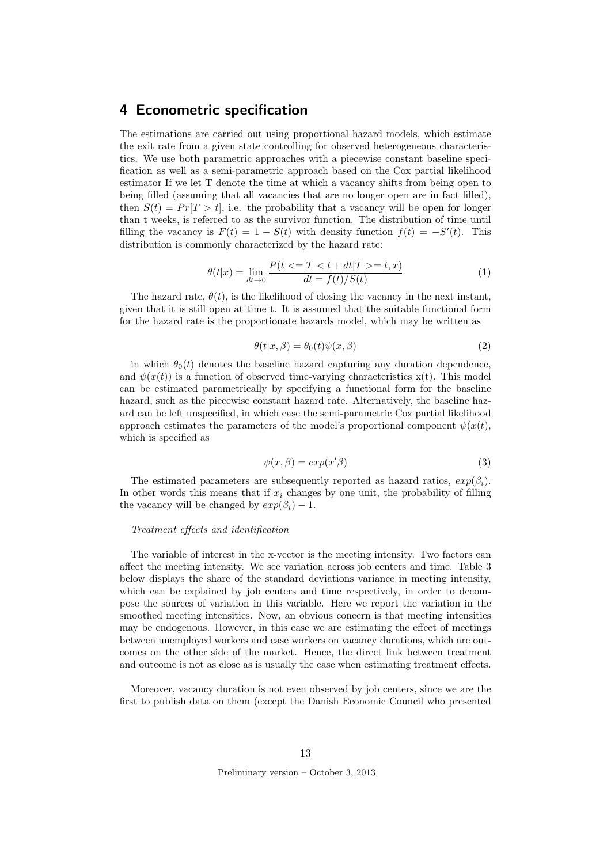### 4 Econometric specification

The estimations are carried out using proportional hazard models, which estimate the exit rate from a given state controlling for observed heterogeneous characteristics. We use both parametric approaches with a piecewise constant baseline specification as well as a semi-parametric approach based on the Cox partial likelihood estimator If we let T denote the time at which a vacancy shifts from being open to being filled (assuming that all vacancies that are no longer open are in fact filled), then  $S(t) = Pr[T > t]$ , i.e. the probability that a vacancy will be open for longer than t weeks, is referred to as the survivor function. The distribution of time until filling the vacancy is  $F(t) = 1 - S(t)$  with density function  $f(t) = -S'(t)$ . This distribution is commonly characterized by the hazard rate:

$$
\theta(t|x) = \lim_{dt \to 0} \frac{P(t \le T < t + dt | T > = t, x)}{dt = f(t)/S(t)} \tag{1}
$$

The hazard rate,  $\theta(t)$ , is the likelihood of closing the vacancy in the next instant, given that it is still open at time t. It is assumed that the suitable functional form for the hazard rate is the proportionate hazards model, which may be written as

$$
\theta(t|x,\beta) = \theta_0(t)\psi(x,\beta) \tag{2}
$$

in which  $\theta_0(t)$  denotes the baseline hazard capturing any duration dependence, and  $\psi(x(t))$  is a function of observed time-varying characteristics  $x(t)$ . This model can be estimated parametrically by specifying a functional form for the baseline hazard, such as the piecewise constant hazard rate. Alternatively, the baseline hazard can be left unspecified, in which case the semi-parametric Cox partial likelihood approach estimates the parameters of the model's proportional component  $\psi(x(t))$ , which is specified as

$$
\psi(x,\beta) = \exp(x'\beta) \tag{3}
$$

The estimated parameters are subsequently reported as hazard ratios,  $exp(\beta_i)$ . In other words this means that if  $x_i$  changes by one unit, the probability of filling the vacancy will be changed by  $exp(\beta_i) - 1$ .

#### Treatment effects and identification

The variable of interest in the x-vector is the meeting intensity. Two factors can affect the meeting intensity. We see variation across job centers and time. Table 3 below displays the share of the standard deviations variance in meeting intensity, which can be explained by job centers and time respectively, in order to decompose the sources of variation in this variable. Here we report the variation in the smoothed meeting intensities. Now, an obvious concern is that meeting intensities may be endogenous. However, in this case we are estimating the effect of meetings between unemployed workers and case workers on vacancy durations, which are outcomes on the other side of the market. Hence, the direct link between treatment and outcome is not as close as is usually the case when estimating treatment effects.

Moreover, vacancy duration is not even observed by job centers, since we are the first to publish data on them (except the Danish Economic Council who presented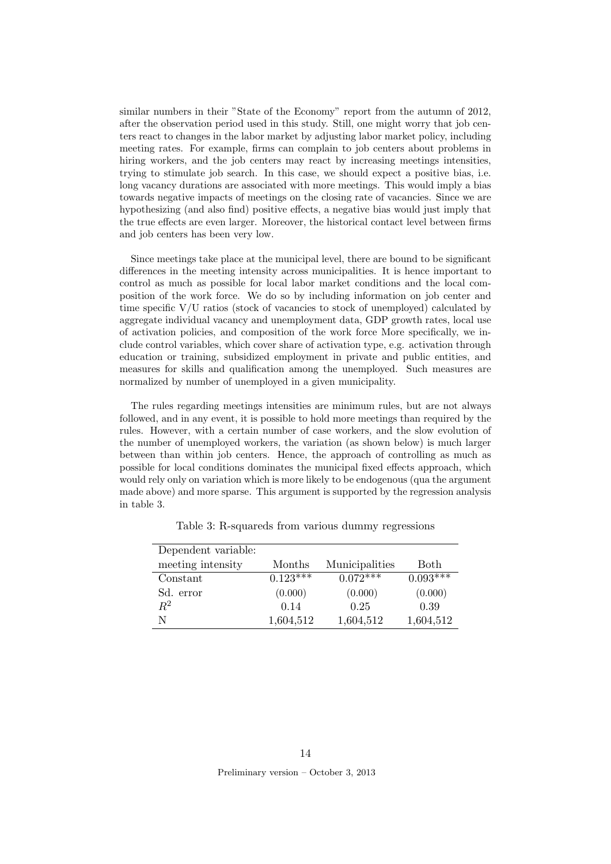similar numbers in their "State of the Economy" report from the autumn of 2012, after the observation period used in this study. Still, one might worry that job centers react to changes in the labor market by adjusting labor market policy, including meeting rates. For example, firms can complain to job centers about problems in hiring workers, and the job centers may react by increasing meetings intensities, trying to stimulate job search. In this case, we should expect a positive bias, i.e. long vacancy durations are associated with more meetings. This would imply a bias towards negative impacts of meetings on the closing rate of vacancies. Since we are hypothesizing (and also find) positive effects, a negative bias would just imply that the true effects are even larger. Moreover, the historical contact level between firms and job centers has been very low.

Since meetings take place at the municipal level, there are bound to be significant differences in the meeting intensity across municipalities. It is hence important to control as much as possible for local labor market conditions and the local composition of the work force. We do so by including information on job center and time specific V/U ratios (stock of vacancies to stock of unemployed) calculated by aggregate individual vacancy and unemployment data, GDP growth rates, local use of activation policies, and composition of the work force More specifically, we include control variables, which cover share of activation type, e.g. activation through education or training, subsidized employment in private and public entities, and measures for skills and qualification among the unemployed. Such measures are normalized by number of unemployed in a given municipality.

The rules regarding meetings intensities are minimum rules, but are not always followed, and in any event, it is possible to hold more meetings than required by the rules. However, with a certain number of case workers, and the slow evolution of the number of unemployed workers, the variation (as shown below) is much larger between than within job centers. Hence, the approach of controlling as much as possible for local conditions dominates the municipal fixed effects approach, which would rely only on variation which is more likely to be endogenous (qua the argument made above) and more sparse. This argument is supported by the regression analysis in table 3.

| Dependent variable: |            |                |            |
|---------------------|------------|----------------|------------|
| meeting intensity   | Months     | Municipalities | Both       |
| Constant            | $0.123***$ | $0.072***$     | $0.093***$ |
| Sd. error           | (0.000)    | (0.000)        | (0.000)    |
| $R^2$               | 0.14       | 0.25           | 0.39       |
| N                   | 1,604,512  | 1,604,512      | 1,604,512  |

Table 3: R-squareds from various dummy regressions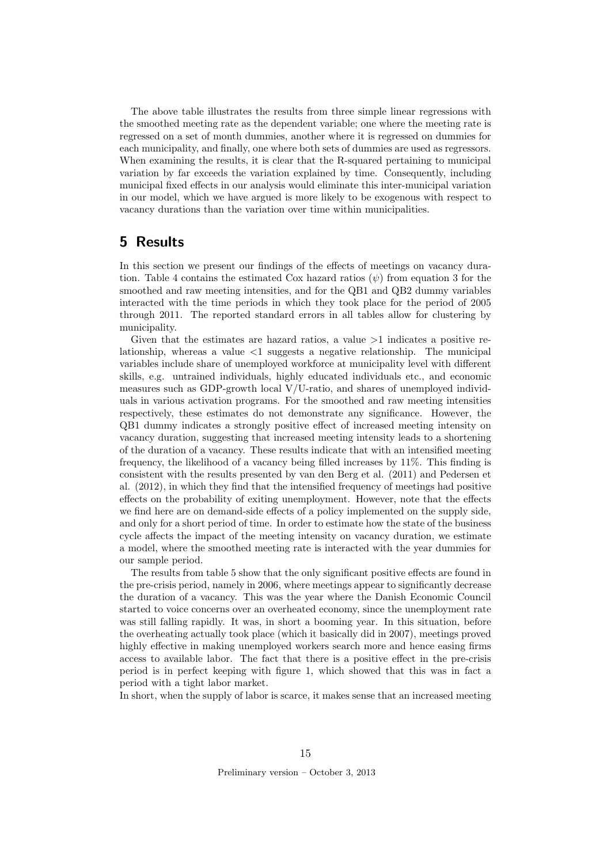The above table illustrates the results from three simple linear regressions with the smoothed meeting rate as the dependent variable; one where the meeting rate is regressed on a set of month dummies, another where it is regressed on dummies for each municipality, and finally, one where both sets of dummies are used as regressors. When examining the results, it is clear that the R-squared pertaining to municipal variation by far exceeds the variation explained by time. Consequently, including municipal fixed effects in our analysis would eliminate this inter-municipal variation in our model, which we have argued is more likely to be exogenous with respect to vacancy durations than the variation over time within municipalities.

### 5 Results

In this section we present our findings of the effects of meetings on vacancy duration. Table 4 contains the estimated Cox hazard ratios  $(\psi)$  from equation 3 for the smoothed and raw meeting intensities, and for the QB1 and QB2 dummy variables interacted with the time periods in which they took place for the period of 2005 through 2011. The reported standard errors in all tables allow for clustering by municipality.

Given that the estimates are hazard ratios, a value  $>1$  indicates a positive relationship, whereas a value <1 suggests a negative relationship. The municipal variables include share of unemployed workforce at municipality level with different skills, e.g. untrained individuals, highly educated individuals etc., and economic measures such as GDP-growth local V/U-ratio, and shares of unemployed individuals in various activation programs. For the smoothed and raw meeting intensities respectively, these estimates do not demonstrate any significance. However, the QB1 dummy indicates a strongly positive effect of increased meeting intensity on vacancy duration, suggesting that increased meeting intensity leads to a shortening of the duration of a vacancy. These results indicate that with an intensified meeting frequency, the likelihood of a vacancy being filled increases by 11%. This finding is consistent with the results presented by van den Berg et al. (2011) and Pedersen et al. (2012), in which they find that the intensified frequency of meetings had positive effects on the probability of exiting unemployment. However, note that the effects we find here are on demand-side effects of a policy implemented on the supply side, and only for a short period of time. In order to estimate how the state of the business cycle affects the impact of the meeting intensity on vacancy duration, we estimate a model, where the smoothed meeting rate is interacted with the year dummies for our sample period.

The results from table 5 show that the only significant positive effects are found in the pre-crisis period, namely in 2006, where meetings appear to significantly decrease the duration of a vacancy. This was the year where the Danish Economic Council started to voice concerns over an overheated economy, since the unemployment rate was still falling rapidly. It was, in short a booming year. In this situation, before the overheating actually took place (which it basically did in 2007), meetings proved highly effective in making unemployed workers search more and hence easing firms access to available labor. The fact that there is a positive effect in the pre-crisis period is in perfect keeping with figure 1, which showed that this was in fact a period with a tight labor market.

In short, when the supply of labor is scarce, it makes sense that an increased meeting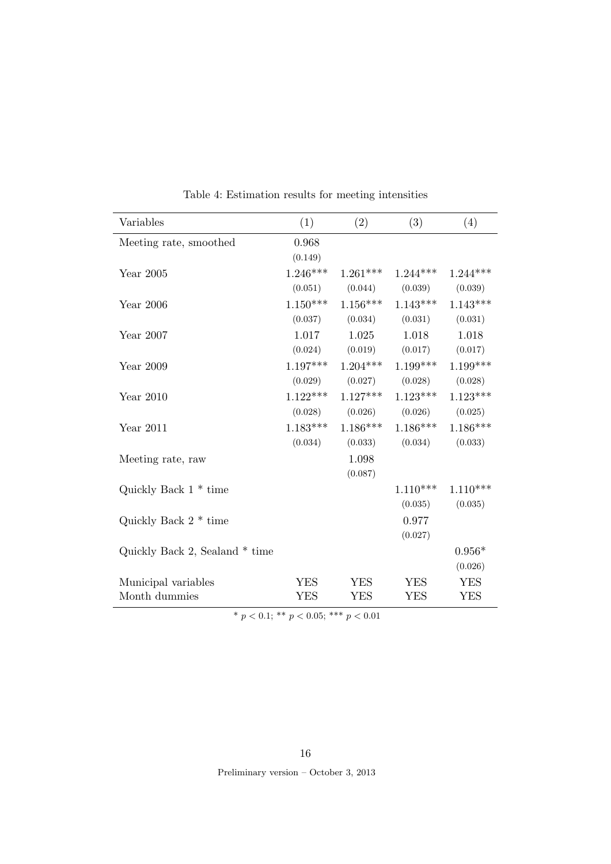| Variables                      | (1)        | (2)        | (3)                   | (4)        |
|--------------------------------|------------|------------|-----------------------|------------|
| Meeting rate, smoothed         | 0.968      |            |                       |            |
|                                | (0.149)    |            |                       |            |
| Year 2005                      | $1.246***$ |            | $1.261***$ $1.244***$ | $1.244***$ |
|                                | (0.051)    | (0.044)    | (0.039)               | (0.039)    |
| Year 2006                      | $1.150***$ | $1.156***$ | $1.143***$            | $1.143***$ |
|                                | (0.037)    | (0.034)    | (0.031)               | (0.031)    |
| Year 2007                      | 1.017      | 1.025      | 1.018                 | 1.018      |
|                                | (0.024)    |            | $(0.019)$ $(0.017)$   | (0.017)    |
| Year 2009                      | $1.197***$ | $1.204***$ | $1.199***$            | $1.199***$ |
|                                | (0.029)    | (0.027)    | (0.028)               | (0.028)    |
| Year 2010                      | $1.122***$ |            | $1.127***$ $1.123***$ | $1.123***$ |
|                                | (0.028)    | (0.026)    | (0.026)               | (0.025)    |
| Year $2011$                    | $1.183***$ | $1.186***$ | $1.186***$            | $1.186***$ |
|                                | (0.034)    | (0.033)    | (0.034)               | (0.033)    |
| Meeting rate, raw              |            | 1.098      |                       |            |
|                                |            | (0.087)    |                       |            |
| Quickly Back $1 * time$        |            |            | $1.110***$            | $1.110***$ |
|                                |            |            | (0.035)               | (0.035)    |
| Quickly Back $2 * time$        |            |            | 0.977                 |            |
|                                |            |            | (0.027)               |            |
| Quickly Back 2, Sealand * time |            |            |                       | $0.956*$   |
|                                |            |            |                       | (0.026)    |
| Municipal variables            | <b>YES</b> | <b>YES</b> | <b>YES</b>            | <b>YES</b> |
| Month dummies                  | <b>YES</b> | <b>YES</b> | <b>YES</b>            | <b>YES</b> |

Table 4: Estimation results for meeting intensities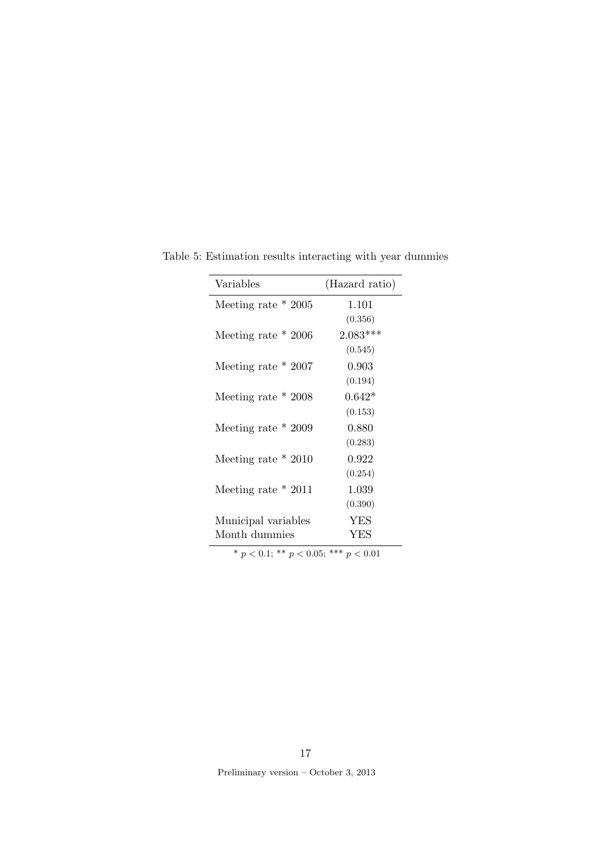| Variables             | (Hazard ratio) |
|-----------------------|----------------|
| Meeting rate $*$ 2005 | 1.101          |
|                       | (0.356)        |
| Meeting rate $*$ 2006 | $2.083***$     |
|                       | (0.545)        |
| Meeting rate $*$ 2007 | 0.903          |
|                       | (0.194)        |
| Meeting rate $*$ 2008 | $0.642*$       |
|                       | (0.153)        |
| Meeting rate $*$ 2009 | 0.880          |
|                       | (0.283)        |
| Meeting rate $*2010$  | 0.922          |
|                       | (0.254)        |
| Meeting rate $*$ 2011 | 1.039          |
|                       | (0.390)        |
| Municipal variables   | YES            |
| Month dummies         | YES            |

Table 5: Estimation results interacting with year dummies

17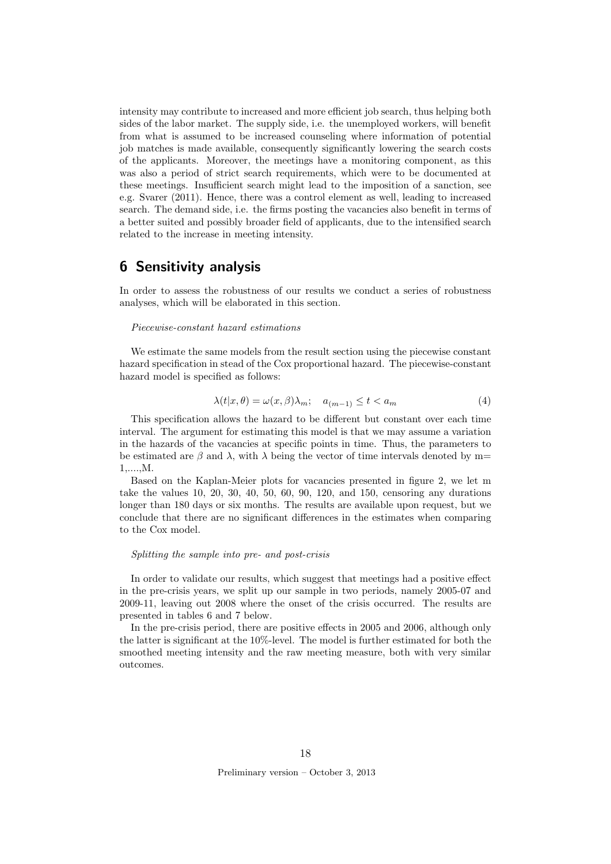intensity may contribute to increased and more efficient job search, thus helping both sides of the labor market. The supply side, i.e. the unemployed workers, will benefit from what is assumed to be increased counseling where information of potential job matches is made available, consequently significantly lowering the search costs of the applicants. Moreover, the meetings have a monitoring component, as this was also a period of strict search requirements, which were to be documented at these meetings. Insufficient search might lead to the imposition of a sanction, see e.g. Svarer (2011). Hence, there was a control element as well, leading to increased search. The demand side, i.e. the firms posting the vacancies also benefit in terms of a better suited and possibly broader field of applicants, due to the intensified search related to the increase in meeting intensity.

### 6 Sensitivity analysis

In order to assess the robustness of our results we conduct a series of robustness analyses, which will be elaborated in this section.

#### Piecewise-constant hazard estimations

We estimate the same models from the result section using the piecewise constant hazard specification in stead of the Cox proportional hazard. The piecewise-constant hazard model is specified as follows:

$$
\lambda(t|x,\theta) = \omega(x,\beta)\lambda_m; \quad a_{(m-1)} \le t < a_m \tag{4}
$$

This specification allows the hazard to be different but constant over each time interval. The argument for estimating this model is that we may assume a variation in the hazards of the vacancies at specific points in time. Thus, the parameters to be estimated are β and  $\lambda$ , with  $\lambda$  being the vector of time intervals denoted by m= 1,....,M.

Based on the Kaplan-Meier plots for vacancies presented in figure 2, we let m take the values 10, 20, 30, 40, 50, 60, 90, 120, and 150, censoring any durations longer than 180 days or six months. The results are available upon request, but we conclude that there are no significant differences in the estimates when comparing to the Cox model.

#### Splitting the sample into pre- and post-crisis

In order to validate our results, which suggest that meetings had a positive effect in the pre-crisis years, we split up our sample in two periods, namely 2005-07 and 2009-11, leaving out 2008 where the onset of the crisis occurred. The results are presented in tables 6 and 7 below.

In the pre-crisis period, there are positive effects in 2005 and 2006, although only the latter is significant at the 10%-level. The model is further estimated for both the smoothed meeting intensity and the raw meeting measure, both with very similar outcomes.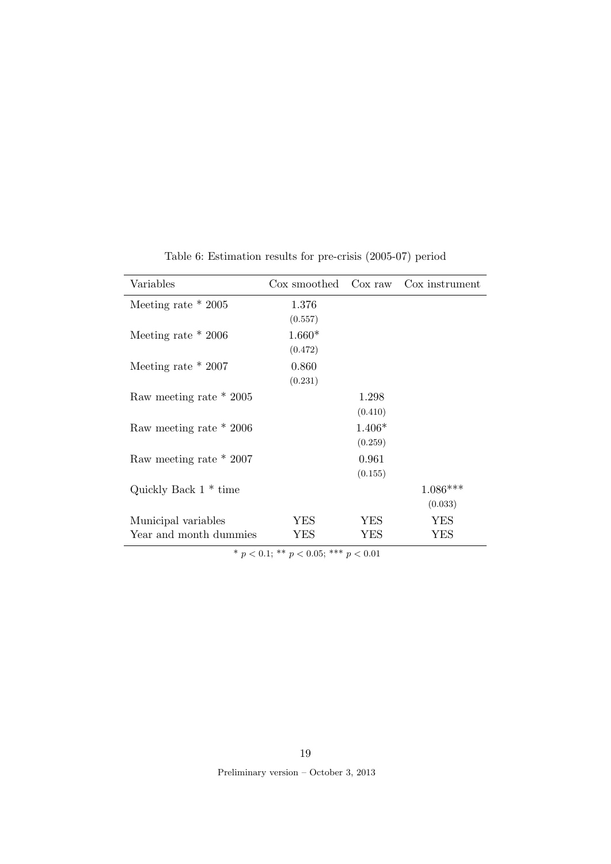| Variables               | Cox smoothed Cox raw |          | Cox instrument |
|-------------------------|----------------------|----------|----------------|
| Meeting rate $*$ 2005   | 1.376                |          |                |
|                         | (0.557)              |          |                |
| Meeting rate $*$ 2006   | $1.660*$             |          |                |
|                         | (0.472)              |          |                |
| Meeting rate $*$ 2007   | 0.860                |          |                |
|                         | (0.231)              |          |                |
| Raw meeting rate * 2005 |                      | 1.298    |                |
|                         |                      | (0.410)  |                |
| Raw meeting rate * 2006 |                      | $1.406*$ |                |
|                         |                      | (0.259)  |                |
| Raw meeting rate * 2007 |                      | 0.961    |                |
|                         |                      | (0.155)  |                |
| Quickly Back $1 * time$ |                      |          | $1.086***$     |
|                         |                      |          | (0.033)        |
| Municipal variables     | YES                  | YES      | <b>YES</b>     |
| Year and month dummies  | YES                  | YES      | YES            |

Table 6: Estimation results for pre-crisis (2005-07) period

Preliminary version – October 3, 2013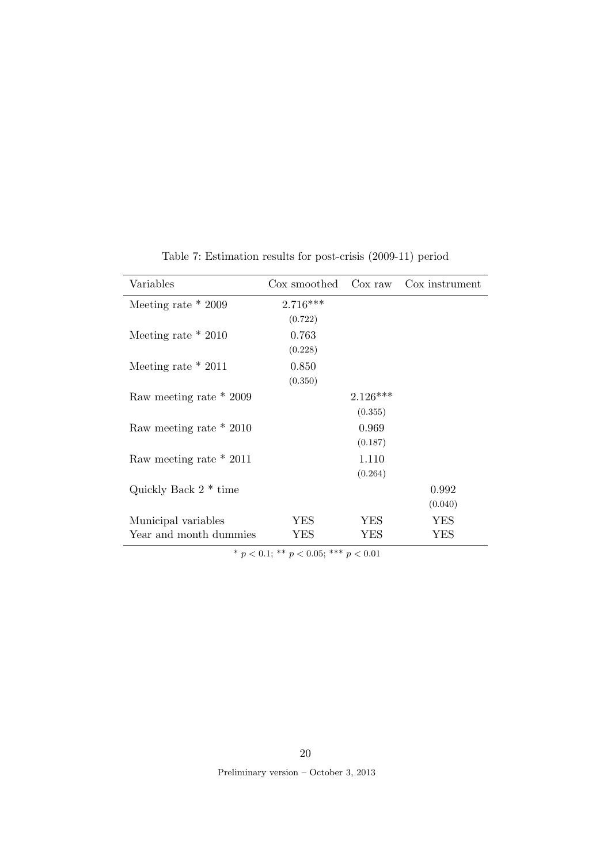| Variables               | Cox smoothed | Cox raw    | Cox instrument |
|-------------------------|--------------|------------|----------------|
| Meeting rate $*2009$    | $2.716***$   |            |                |
|                         | (0.722)      |            |                |
| Meeting rate $*2010$    | 0.763        |            |                |
|                         | (0.228)      |            |                |
| Meeting rate $*$ 2011   | 0.850        |            |                |
|                         | (0.350)      |            |                |
| Raw meeting rate * 2009 |              | $2.126***$ |                |
|                         |              | (0.355)    |                |
| Raw meeting rate * 2010 |              | 0.969      |                |
|                         |              | (0.187)    |                |
| Raw meeting rate * 2011 |              | 1.110      |                |
|                         |              | (0.264)    |                |
| Quickly Back $2 * time$ |              |            | 0.992          |
|                         |              |            | (0.040)        |
| Municipal variables     | YES          | YES        | YES            |
| Year and month dummies  | YES          | YES        | YES            |

Table 7: Estimation results for post-crisis (2009-11) period

Preliminary version – October 3, 2013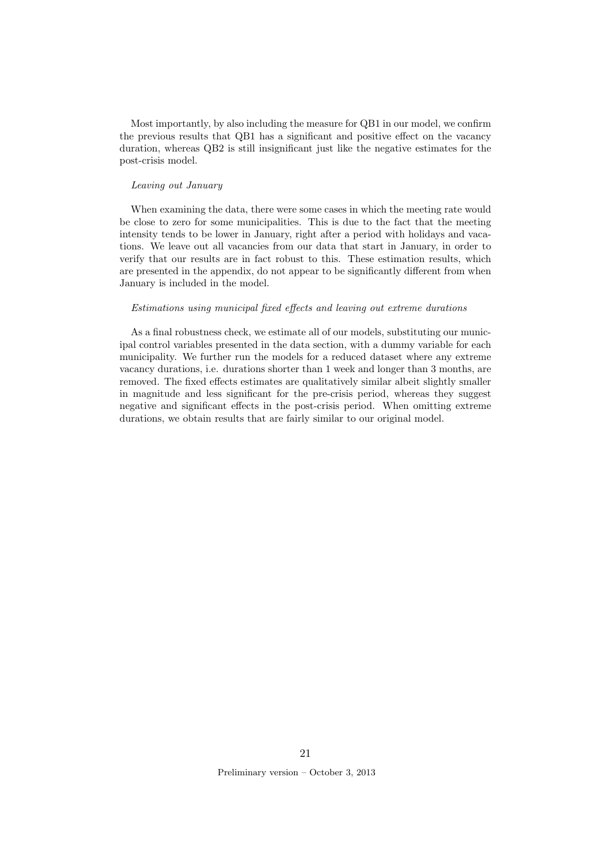Most importantly, by also including the measure for QB1 in our model, we confirm the previous results that QB1 has a significant and positive effect on the vacancy duration, whereas QB2 is still insignificant just like the negative estimates for the post-crisis model.

#### Leaving out January

When examining the data, there were some cases in which the meeting rate would be close to zero for some municipalities. This is due to the fact that the meeting intensity tends to be lower in January, right after a period with holidays and vacations. We leave out all vacancies from our data that start in January, in order to verify that our results are in fact robust to this. These estimation results, which are presented in the appendix, do not appear to be significantly different from when January is included in the model.

#### Estimations using municipal fixed effects and leaving out extreme durations

As a final robustness check, we estimate all of our models, substituting our municipal control variables presented in the data section, with a dummy variable for each municipality. We further run the models for a reduced dataset where any extreme vacancy durations, i.e. durations shorter than 1 week and longer than 3 months, are removed. The fixed effects estimates are qualitatively similar albeit slightly smaller in magnitude and less significant for the pre-crisis period, whereas they suggest negative and significant effects in the post-crisis period. When omitting extreme durations, we obtain results that are fairly similar to our original model.

21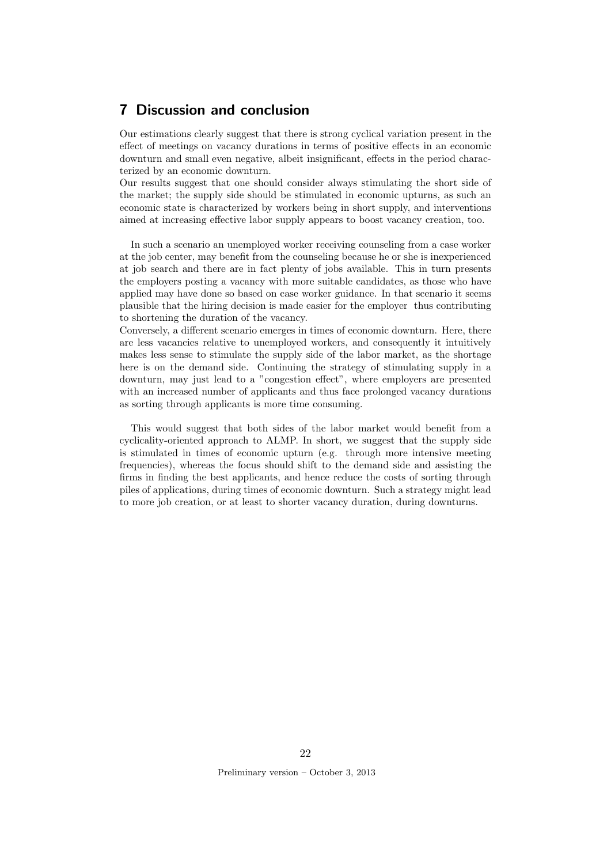### 7 Discussion and conclusion

Our estimations clearly suggest that there is strong cyclical variation present in the effect of meetings on vacancy durations in terms of positive effects in an economic downturn and small even negative, albeit insignificant, effects in the period characterized by an economic downturn.

Our results suggest that one should consider always stimulating the short side of the market; the supply side should be stimulated in economic upturns, as such an economic state is characterized by workers being in short supply, and interventions aimed at increasing effective labor supply appears to boost vacancy creation, too.

In such a scenario an unemployed worker receiving counseling from a case worker at the job center, may benefit from the counseling because he or she is inexperienced at job search and there are in fact plenty of jobs available. This in turn presents the employers posting a vacancy with more suitable candidates, as those who have applied may have done so based on case worker guidance. In that scenario it seems plausible that the hiring decision is made easier for the employer thus contributing to shortening the duration of the vacancy.

Conversely, a different scenario emerges in times of economic downturn. Here, there are less vacancies relative to unemployed workers, and consequently it intuitively makes less sense to stimulate the supply side of the labor market, as the shortage here is on the demand side. Continuing the strategy of stimulating supply in a downturn, may just lead to a "congestion effect", where employers are presented with an increased number of applicants and thus face prolonged vacancy durations as sorting through applicants is more time consuming.

This would suggest that both sides of the labor market would benefit from a cyclicality-oriented approach to ALMP. In short, we suggest that the supply side is stimulated in times of economic upturn (e.g. through more intensive meeting frequencies), whereas the focus should shift to the demand side and assisting the firms in finding the best applicants, and hence reduce the costs of sorting through piles of applications, during times of economic downturn. Such a strategy might lead to more job creation, or at least to shorter vacancy duration, during downturns.

22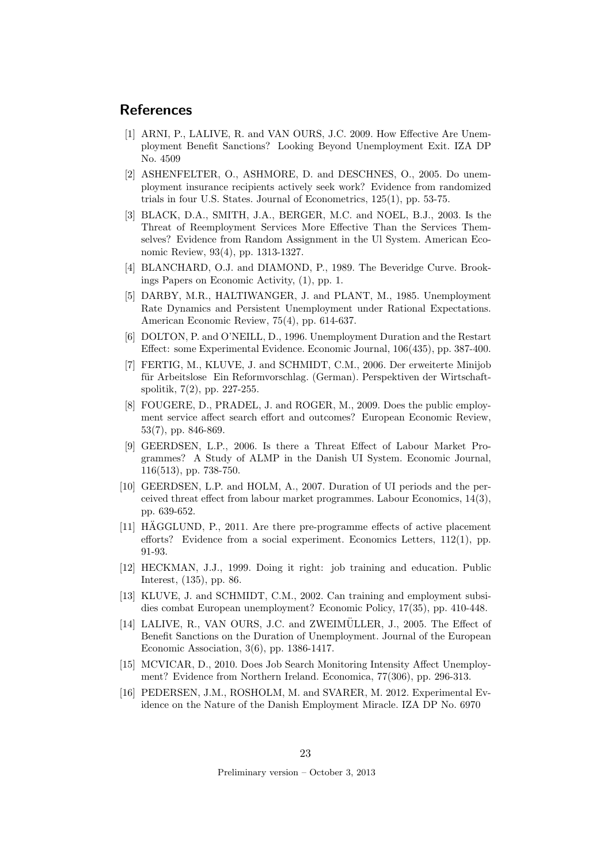### References

- [1] ARNI, P., LALIVE, R. and VAN OURS, J.C. 2009. How Effective Are Unemployment Benefit Sanctions? Looking Beyond Unemployment Exit. IZA DP No. 4509
- [2] ASHENFELTER, O., ASHMORE, D. and DESCHNES, O., 2005. Do unemployment insurance recipients actively seek work? Evidence from randomized trials in four U.S. States. Journal of Econometrics, 125(1), pp. 53-75.
- [3] BLACK, D.A., SMITH, J.A., BERGER, M.C. and NOEL, B.J., 2003. Is the Threat of Reemployment Services More Effective Than the Services Themselves? Evidence from Random Assignment in the Ul System. American Economic Review, 93(4), pp. 1313-1327.
- [4] BLANCHARD, O.J. and DIAMOND, P., 1989. The Beveridge Curve. Brookings Papers on Economic Activity, (1), pp. 1.
- [5] DARBY, M.R., HALTIWANGER, J. and PLANT, M., 1985. Unemployment Rate Dynamics and Persistent Unemployment under Rational Expectations. American Economic Review, 75(4), pp. 614-637.
- [6] DOLTON, P. and O'NEILL, D., 1996. Unemployment Duration and the Restart Effect: some Experimental Evidence. Economic Journal, 106(435), pp. 387-400.
- [7] FERTIG, M., KLUVE, J. and SCHMIDT, C.M., 2006. Der erweiterte Minijob für Arbeitslose Ein Reformvorschlag. (German). Perspektiven der Wirtschaftspolitik, 7(2), pp. 227-255.
- [8] FOUGERE, D., PRADEL, J. and ROGER, M., 2009. Does the public employment service affect search effort and outcomes? European Economic Review, 53(7), pp. 846-869.
- [9] GEERDSEN, L.P., 2006. Is there a Threat Effect of Labour Market Programmes? A Study of ALMP in the Danish UI System. Economic Journal, 116(513), pp. 738-750.
- [10] GEERDSEN, L.P. and HOLM, A., 2007. Duration of UI periods and the perceived threat effect from labour market programmes. Labour Economics, 14(3), pp. 639-652.
- $[11]$  HAGGLUND, P., 2011. Are there pre-programme effects of active placement efforts? Evidence from a social experiment. Economics Letters, 112(1), pp. 91-93.
- [12] HECKMAN, J.J., 1999. Doing it right: job training and education. Public Interest, (135), pp. 86.
- [13] KLUVE, J. and SCHMIDT, C.M., 2002. Can training and employment subsidies combat European unemployment? Economic Policy, 17(35), pp. 410-448.
- [14] LALIVE, R., VAN OURS, J.C. and ZWEIMÜLLER, J., 2005. The Effect of Benefit Sanctions on the Duration of Unemployment. Journal of the European Economic Association, 3(6), pp. 1386-1417.
- [15] MCVICAR, D., 2010. Does Job Search Monitoring Intensity Affect Unemployment? Evidence from Northern Ireland. Economica, 77(306), pp. 296-313.
- [16] PEDERSEN, J.M., ROSHOLM, M. and SVARER, M. 2012. Experimental Evidence on the Nature of the Danish Employment Miracle. IZA DP No. 6970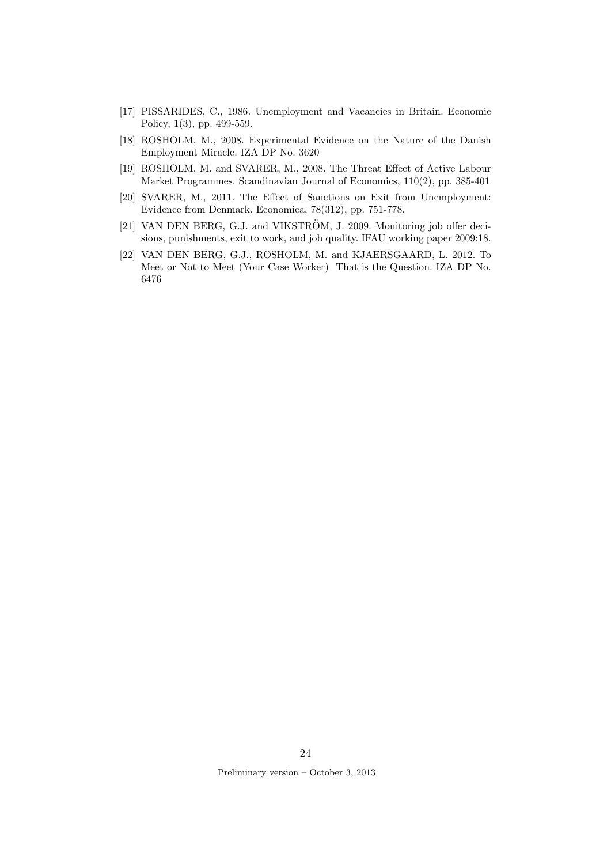- [17] PISSARIDES, C., 1986. Unemployment and Vacancies in Britain. Economic Policy, 1(3), pp. 499-559.
- [18] ROSHOLM, M., 2008. Experimental Evidence on the Nature of the Danish Employment Miracle. IZA DP No. 3620
- [19] ROSHOLM, M. and SVARER, M., 2008. The Threat Effect of Active Labour Market Programmes. Scandinavian Journal of Economics, 110(2), pp. 385-401
- [20] SVARER, M., 2011. The Effect of Sanctions on Exit from Unemployment: Evidence from Denmark. Economica, 78(312), pp. 751-778.
- [21] VAN DEN BERG, G.J. and VIKSTRÖM, J. 2009. Monitoring job offer decisions, punishments, exit to work, and job quality. IFAU working paper 2009:18.
- [22] VAN DEN BERG, G.J., ROSHOLM, M. and KJAERSGAARD, L. 2012. To Meet or Not to Meet (Your Case Worker) That is the Question. IZA DP No. 6476

24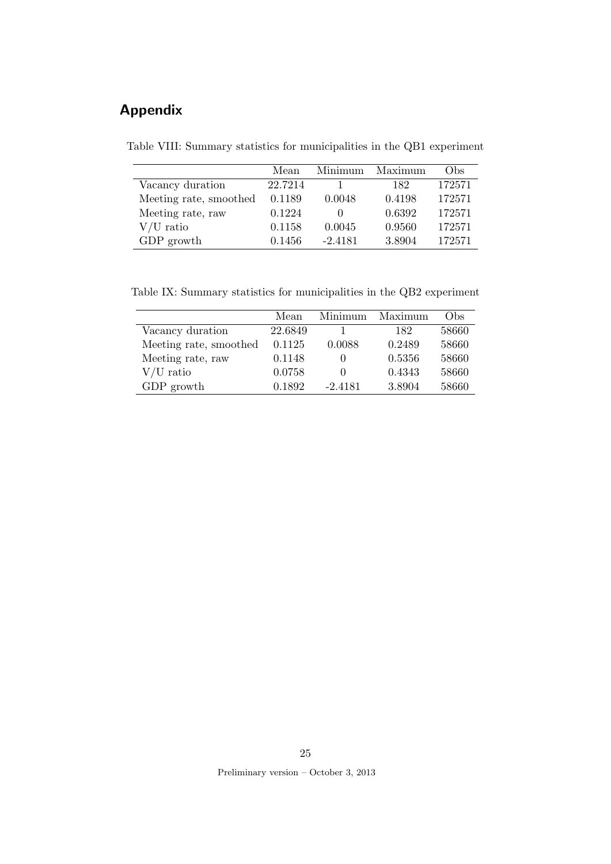# Appendix

Table VIII: Summary statistics for municipalities in the QB1 experiment

|                        | Mean    | Minimum   | Maximum | Obs    |
|------------------------|---------|-----------|---------|--------|
| Vacancy duration       | 22.7214 |           | 182     | 172571 |
| Meeting rate, smoothed | 0.1189  | 0.0048    | 0.4198  | 172571 |
| Meeting rate, raw      | 0.1224  |           | 0.6392  | 172571 |
| $V/U$ ratio            | 0.1158  | 0.0045    | 0.9560  | 172571 |
| GDP growth             | 0.1456  | $-2.4181$ | 3.8904  | 172571 |

Table IX: Summary statistics for municipalities in the QB2 experiment

|                        | Mean    | Minimum      | Maximum | Obs   |
|------------------------|---------|--------------|---------|-------|
| Vacancy duration       | 22.6849 |              | 182     | 58660 |
| Meeting rate, smoothed | 0.1125  | 0.0088       | 0.2489  | 58660 |
| Meeting rate, raw      | 0.1148  |              | 0.5356  | 58660 |
| $V/U$ ratio            | 0.0758  | $\mathbf{0}$ | 0.4343  | 58660 |
| GDP growth             | 0.1892  | $-2.4181$    | 3.8904  | 58660 |

25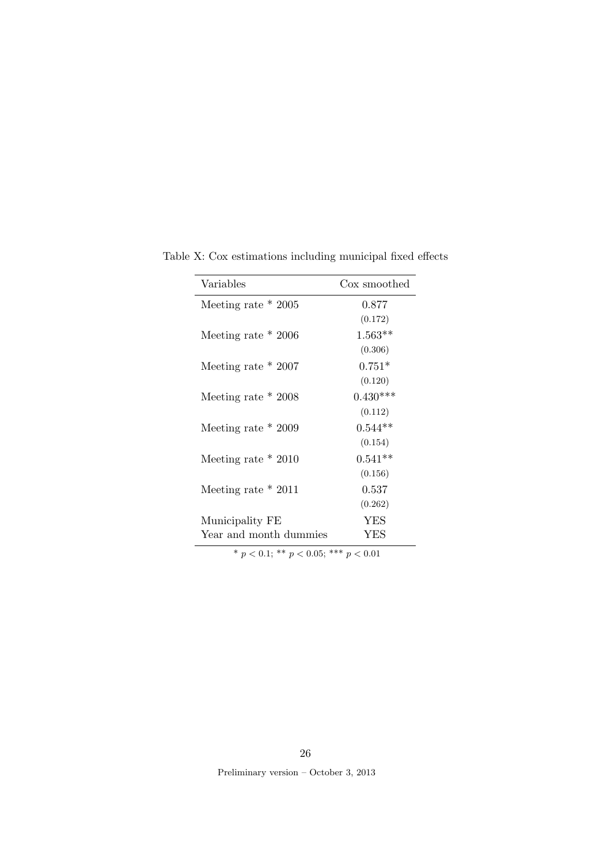| Variables              | Cox smoothed |
|------------------------|--------------|
| Meeting rate $*$ 2005  | 0.877        |
|                        | (0.172)      |
| Meeting rate $*$ 2006  | $1.563**$    |
|                        | (0.306)      |
| Meeting rate $*$ 2007  | $0.751*$     |
|                        | (0.120)      |
| Meeting rate $*$ 2008  | $0.430***$   |
|                        | (0.112)      |
| Meeting rate $*$ 2009  | $0.544**$    |
|                        | (0.154)      |
| Meeting rate $*2010$   | $0.541**$    |
|                        | (0.156)      |
| Meeting rate $*$ 2011  | 0.537        |
|                        | (0.262)      |
| Municipality FE        | <b>YES</b>   |
| Year and month dummies | YES          |

Table X: Cox estimations including municipal fixed effects

26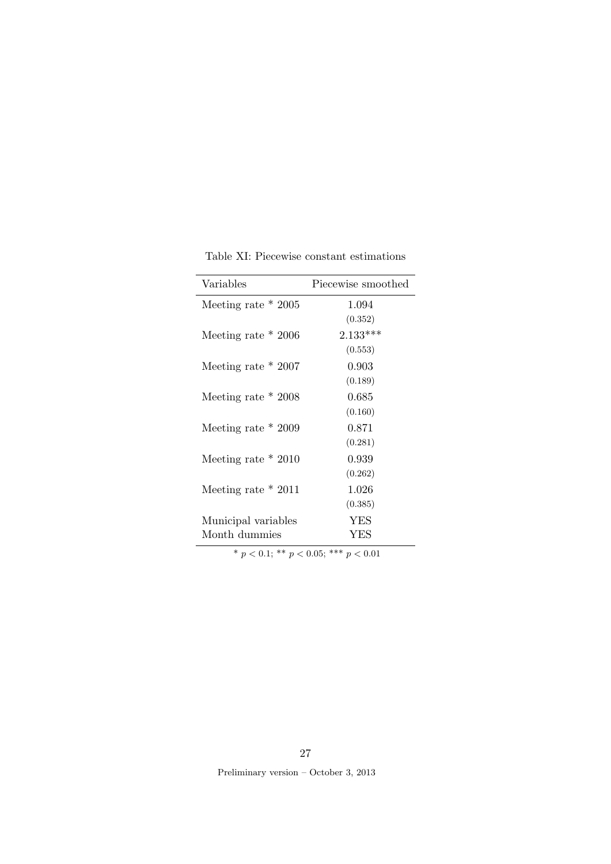| Variables             | Piecewise smoothed |
|-----------------------|--------------------|
| Meeting rate $*$ 2005 | 1.094              |
|                       | (0.352)            |
| Meeting rate $*$ 2006 | $2.133***$         |
|                       | (0.553)            |
| Meeting rate $*$ 2007 | 0.903              |
|                       | (0.189)            |
| Meeting rate $*$ 2008 | 0.685              |
|                       | (0.160)            |
| Meeting rate $*$ 2009 | 0.871              |
|                       | (0.281)            |
| Meeting rate $*2010$  | 0.939              |
|                       | (0.262)            |
| Meeting rate $*$ 2011 | 1.026              |
|                       | (0.385)            |
| Municipal variables   | YES                |
| Month dummies         | YES                |

Table XI: Piecewise constant estimations

27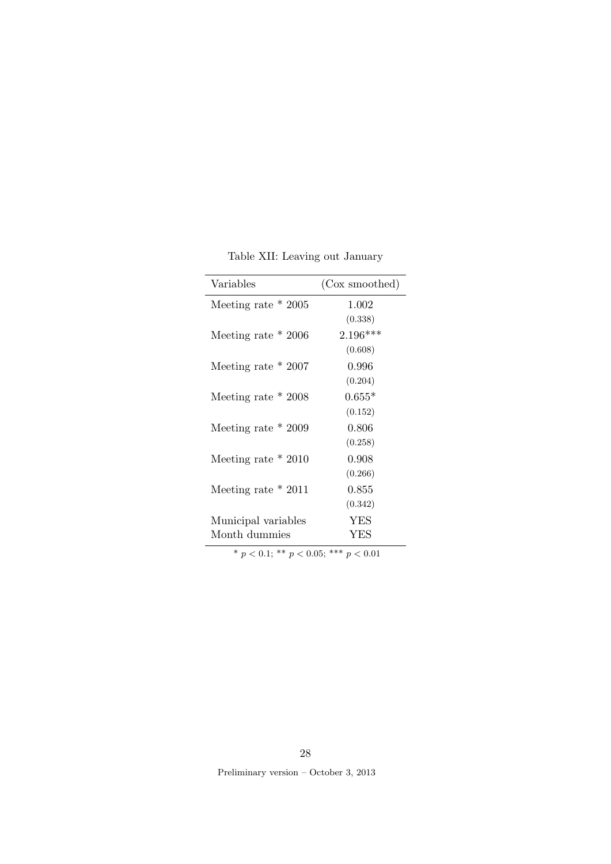|  | Table XII: Leaving out January |  |
|--|--------------------------------|--|
|  |                                |  |
|  |                                |  |

| Variables                                    | (Cox smoothed) |  |  |
|----------------------------------------------|----------------|--|--|
| Meeting rate $*$ 2005                        | 1.002          |  |  |
|                                              | (0.338)        |  |  |
| Meeting rate $*$ 2006                        | $2.196***$     |  |  |
|                                              | (0.608)        |  |  |
| Meeting rate $*$ 2007                        | 0.996          |  |  |
|                                              | (0.204)        |  |  |
| Meeting rate $*$ 2008                        | $0.655*$       |  |  |
|                                              | (0.152)        |  |  |
| Meeting rate $*$ 2009                        | 0.806          |  |  |
|                                              | (0.258)        |  |  |
| Meeting rate $*2010$                         | 0.908          |  |  |
|                                              | (0.266)        |  |  |
| Meeting rate $*$ 2011                        | 0.855          |  |  |
|                                              | (0.342)        |  |  |
| Municipal variables                          | <b>YES</b>     |  |  |
| Month dummies                                | <b>YES</b>     |  |  |
| * $n < 0.1$ · ** $n < 0.05$ · *** $n < 0.01$ |                |  |  |

Preliminary version – October 3, 2013